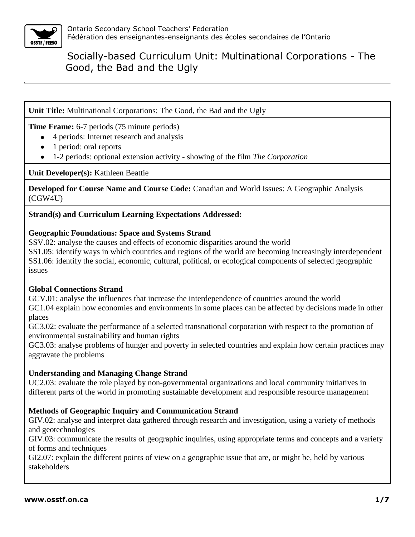

**Unit Title:** Multinational Corporations: The Good, the Bad and the Ugly

**Time Frame:** 6-7 periods (75 minute periods)

- 4 periods: Internet research and analysis
- 1 period: oral reports
- 1-2 periods: optional extension activity showing of the film *The Corporation*

**Unit Developer(s):** Kathleen Beattie

**Developed for Course Name and Course Code:** Canadian and World Issues: A Geographic Analysis (CGW4U)

### **Strand(s) and Curriculum Learning Expectations Addressed:**

### **Geographic Foundations: Space and Systems Strand**

SSV.02: analyse the causes and effects of economic disparities around the world SS1.05: identify ways in which countries and regions of the world are becoming increasingly interdependent SS1.06: identify the social, economic, cultural, political, or ecological components of selected geographic issues

### **Global Connections Strand**

GCV.01: analyse the influences that increase the interdependence of countries around the world GC1.04 explain how economies and environments in some places can be affected by decisions made in other places

GC3.02: evaluate the performance of a selected transnational corporation with respect to the promotion of environmental sustainability and human rights

GC3.03: analyse problems of hunger and poverty in selected countries and explain how certain practices may aggravate the problems

#### **Understanding and Managing Change Strand**

UC2.03: evaluate the role played by non-governmental organizations and local community initiatives in different parts of the world in promoting sustainable development and responsible resource management

### **Methods of Geographic Inquiry and Communication Strand**

GIV.02: analyse and interpret data gathered through research and investigation, using a variety of methods and geotechnologies

GIV.03: communicate the results of geographic inquiries, using appropriate terms and concepts and a variety of forms and techniques

GI2.07: explain the different points of view on a geographic issue that are, or might be, held by various stakeholders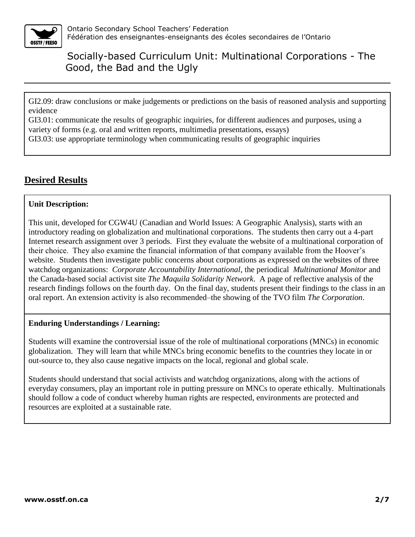

GI2.09: draw conclusions or make judgements or predictions on the basis of reasoned analysis and supporting evidence

GI3.01: communicate the results of geographic inquiries, for different audiences and purposes, using a variety of forms (e.g. oral and written reports, multimedia presentations, essays)

GI3.03: use appropriate terminology when communicating results of geographic inquiries

# **Desired Results**

#### **Unit Description:**

This unit, developed for CGW4U (Canadian and World Issues: A Geographic Analysis), starts with an introductory reading on globalization and multinational corporations. The students then carry out a 4-part Internet research assignment over 3 periods. First they evaluate the website of a multinational corporation of their choice. They also examine the financial information of that company available from the Hoover's website. Students then investigate public concerns about corporations as expressed on the websites of three watchdog organizations: *Corporate Accountability International*, the periodical *Multinational Monitor* and the Canada-based social activist site *The Maquila Solidarity Network*. A page of reflective analysis of the research findings follows on the fourth day. On the final day, students present their findings to the class in an oral report. An extension activity is also recommended–the showing of the TVO film *The Corporation*.

#### **Enduring Understandings / Learning:**

Students will examine the controversial issue of the role of multinational corporations (MNCs) in economic globalization. They will learn that while MNCs bring economic benefits to the countries they locate in or out-source to, they also cause negative impacts on the local, regional and global scale.

Students should understand that social activists and watchdog organizations, along with the actions of everyday consumers, play an important role in putting pressure on MNCs to operate ethically. Multinationals should follow a code of conduct whereby human rights are respected, environments are protected and resources are exploited at a sustainable rate.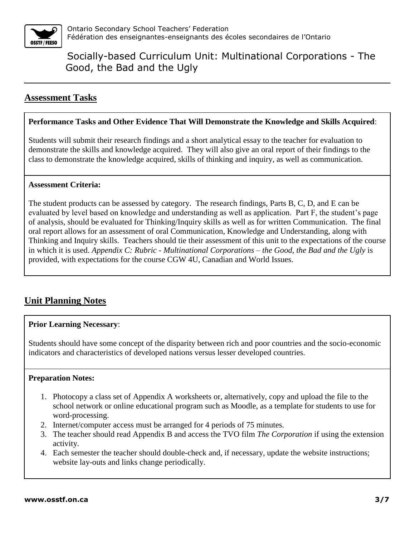

# **Assessment Tasks**

#### **Performance Tasks and Other Evidence That Will Demonstrate the Knowledge and Skills Acquired**:

Students will submit their research findings and a short analytical essay to the teacher for evaluation to demonstrate the skills and knowledge acquired. They will also give an oral report of their findings to the class to demonstrate the knowledge acquired, skills of thinking and inquiry, as well as communication.

#### **Assessment Criteria:**

The student products can be assessed by category. The research findings, Parts B, C, D, and E can be evaluated by level based on knowledge and understanding as well as application. Part F, the student's page of analysis, should be evaluated for Thinking/Inquiry skills as well as for written Communication. The final oral report allows for an assessment of oral Communication, Knowledge and Understanding, along with Thinking and Inquiry skills. Teachers should tie their assessment of this unit to the expectations of the course in which it is used. *Appendix C: Rubric - Multinational Corporations – the Good, the Bad and the Ugly* is provided, with expectations for the course CGW 4U, Canadian and World Issues.

# **Unit Planning Notes**

#### **Prior Learning Necessary**:

Students should have some concept of the disparity between rich and poor countries and the socio-economic indicators and characteristics of developed nations versus lesser developed countries.

#### **Preparation Notes:**

- 1. Photocopy a class set of Appendix A worksheets or, alternatively, copy and upload the file to the school network or online educational program such as Moodle, as a template for students to use for word-processing.
- 2. Internet/computer access must be arranged for 4 periods of 75 minutes.
- 3. The teacher should read Appendix B and access the TVO film *The Corporation* if using the extension activity.
- 4. Each semester the teacher should double-check and, if necessary, update the website instructions; website lay-outs and links change periodically.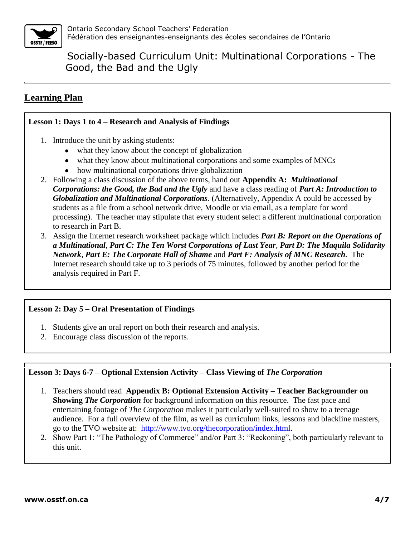

# **Learning Plan**

#### **Lesson 1: Days 1 to 4 – Research and Analysis of Findings**

- 1. Introduce the unit by asking students:
	- what they know about the concept of globalization
	- what they know about multinational corporations and some examples of MNCs
	- how multinational corporations drive globalization
- 2. Following a class discussion of the above terms, hand out **Appendix A:** *Multinational Corporations: the Good, the Bad and the Ugly* and have a class reading of *Part A: Introduction to Globalization and Multinational Corporations*. (Alternatively, Appendix A could be accessed by students as a file from a school network drive, Moodle or via email, as a template for word processing). The teacher may stipulate that every student select a different multinational corporation to research in Part B.
- 3. Assign the Internet research worksheet package which includes *Part B: Report on the Operations of a Multinational, Part C: The Ten Worst Corporations of Last Year, Part D: The Maquila Solidarity Network*, *Part E: The Corporate Hall of Shame* and *Part F: Analysis of MNC Research.* The Internet research should take up to 3 periods of 75 minutes, followed by another period for the analysis required in Part F.

### **Lesson 2: Day 5 – Oral Presentation of Findings**

- 1. Students give an oral report on both their research and analysis.
- 2. Encourage class discussion of the reports.

### **Lesson 3: Days 6-7 – Optional Extension Activity – Class Viewing of** *The Corporation*

- 1. Teachers should read **Appendix B: Optional Extension Activity – Teacher Backgrounder on Showing** *The Corporation* for background information on this resource. The fast pace and entertaining footage of *The Corporation* makes it particularly well-suited to show to a teenage audience. For a full overview of the film, as well as curriculum links, lessons and blackline masters, go to the TVO website at: [http://www.tvo.org/thecorporation/index.html.](http://www.tvo.org/thecorporation/index.html)
- 2. Show Part 1: "The Pathology of Commerce" and/or Part 3: "Reckoning", both particularly relevant to this unit.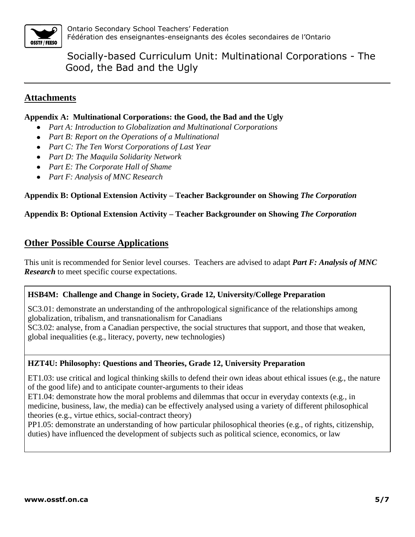

## **Attachments**

#### **Appendix A:****Multinational Corporations: the Good, the Bad and the Ugly**

- *Part A: Introduction to Globalization and Multinational Corporations*
- *Part B: Report on the Operations of a Multinational*
- *Part C: The Ten Worst Corporations of Last Year*
- *Part D: The Maquila Solidarity Network*
- *Part E: The Corporate Hall of Shame*
- *Part F: Analysis of MNC Research*

### **Appendix B: Optional Extension Activity – Teacher Backgrounder on Showing** *The Corporation*

### **Appendix B: Optional Extension Activity – Teacher Backgrounder on Showing** *The Corporation*

# **Other Possible Course Applications**

This unit is recommended for Senior level courses. Teachers are advised to adapt *Part F: Analysis of MNC Research* to meet specific course expectations.

#### **HSB4M: Challenge and Change in Society, Grade 12, University/College Preparation**

SC3.01: demonstrate an understanding of the anthropological significance of the relationships among globalization, tribalism, and transnationalism for Canadians SC3.02: analyse, from a Canadian perspective, the social structures that support, and those that weaken, global inequalities (e.g., literacy, poverty, new technologies)

#### **HZT4U: Philosophy: Questions and Theories, Grade 12, University Preparation**

ET1.03: use critical and logical thinking skills to defend their own ideas about ethical issues (e.g., the nature of the good life) and to anticipate counter-arguments to their ideas

ET1.04: demonstrate how the moral problems and dilemmas that occur in everyday contexts (e.g., in medicine, business, law, the media) can be effectively analysed using a variety of different philosophical theories (e.g., virtue ethics, social-contract theory)

PP1.05: demonstrate an understanding of how particular philosophical theories (e.g., of rights, citizenship, duties) have influenced the development of subjects such as political science, economics, or law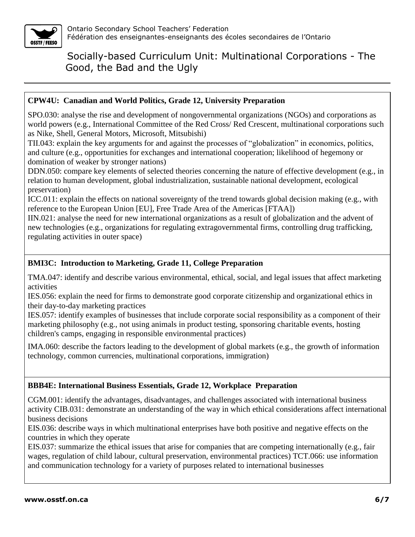

### **CPW4U: Canadian and World Politics, Grade 12, University Preparation**

SPO.030: analyse the rise and development of nongovernmental organizations (NGOs) and corporations as world powers (e.g., International Committee of the Red Cross/ Red Crescent, multinational corporations such as Nike, Shell, General Motors, Microsoft, Mitsubishi)

TII.043: explain the key arguments for and against the processes of "globalization" in economics, politics, and culture (e.g., opportunities for exchanges and international cooperation; likelihood of hegemony or domination of weaker by stronger nations)

DDN.050: compare key elements of selected theories concerning the nature of effective development (e.g., in relation to human development, global industrialization, sustainable national development, ecological preservation)

ICC.011: explain the effects on national sovereignty of the trend towards global decision making (e.g., with reference to the European Union [EU], Free Trade Area of the Americas [FTAA])

IIN.021: analyse the need for new international organizations as a result of globalization and the advent of new technologies (e.g., organizations for regulating extragovernmental firms, controlling drug trafficking, regulating activities in outer space)

## **BMI3C: Introduction to Marketing, Grade 11, College Preparation**

TMA.047: identify and describe various environmental, ethical, social, and legal issues that affect marketing activities

IES.056: explain the need for firms to demonstrate good corporate citizenship and organizational ethics in their day-to-day marketing practices

IES.057: identify examples of businesses that include corporate social responsibility as a component of their marketing philosophy (e.g., not using animals in product testing, sponsoring charitable events, hosting children's camps, engaging in responsible environmental practices)

IMA.060: describe the factors leading to the development of global markets (e.g., the growth of information technology, common currencies, multinational corporations, immigration)

### **BBB4E: International Business Essentials, Grade 12, Workplace Preparation**

CGM.001: identify the advantages, disadvantages, and challenges associated with international business activity CIB.031: demonstrate an understanding of the way in which ethical considerations affect international business decisions

EIS.036: describe ways in which multinational enterprises have both positive and negative effects on the countries in which they operate

EIS.037: summarize the ethical issues that arise for companies that are competing internationally (e.g., fair wages, regulation of child labour, cultural preservation, environmental practices) TCT.066: use information and communication technology for a variety of purposes related to international businesses